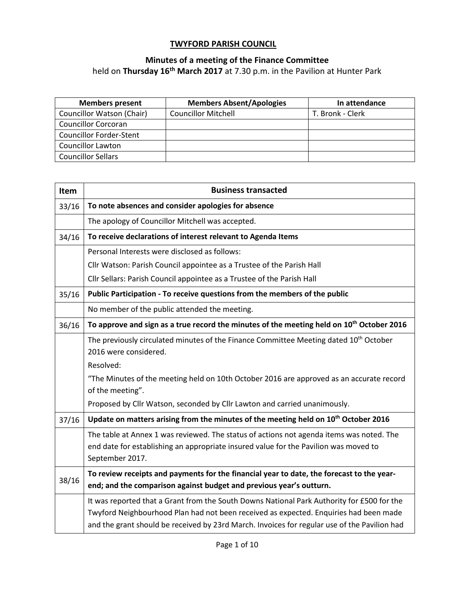## **TWYFORD PARISH COUNCIL**

## **Minutes of a meeting of the Finance Committee**

held on **Thursday 16th March 2017** at 7.30 p.m. in the Pavilion at Hunter Park

| <b>Members present</b>         | <b>Members Absent/Apologies</b> | In attendance    |
|--------------------------------|---------------------------------|------------------|
| Councillor Watson (Chair)      | <b>Councillor Mitchell</b>      | T. Bronk - Clerk |
| <b>Councillor Corcoran</b>     |                                 |                  |
| <b>Councillor Forder-Stent</b> |                                 |                  |
| <b>Councillor Lawton</b>       |                                 |                  |
| <b>Councillor Sellars</b>      |                                 |                  |

| Item  | <b>Business transacted</b>                                                                                   |
|-------|--------------------------------------------------------------------------------------------------------------|
| 33/16 | To note absences and consider apologies for absence                                                          |
|       | The apology of Councillor Mitchell was accepted.                                                             |
| 34/16 | To receive declarations of interest relevant to Agenda Items                                                 |
|       | Personal Interests were disclosed as follows:                                                                |
|       | Cllr Watson: Parish Council appointee as a Trustee of the Parish Hall                                        |
|       | Cllr Sellars: Parish Council appointee as a Trustee of the Parish Hall                                       |
| 35/16 | Public Participation - To receive questions from the members of the public                                   |
|       | No member of the public attended the meeting.                                                                |
| 36/16 | To approve and sign as a true record the minutes of the meeting held on 10 <sup>th</sup> October 2016        |
|       | The previously circulated minutes of the Finance Committee Meeting dated 10 <sup>th</sup> October            |
|       | 2016 were considered.                                                                                        |
|       | Resolved:                                                                                                    |
|       | "The Minutes of the meeting held on 10th October 2016 are approved as an accurate record<br>of the meeting". |
|       | Proposed by Cllr Watson, seconded by Cllr Lawton and carried unanimously.                                    |
| 37/16 | Update on matters arising from the minutes of the meeting held on 10 <sup>th</sup> October 2016              |
|       | The table at Annex 1 was reviewed. The status of actions not agenda items was noted. The                     |
|       | end date for establishing an appropriate insured value for the Pavilion was moved to                         |
|       | September 2017.                                                                                              |
| 38/16 | To review receipts and payments for the financial year to date, the forecast to the year-                    |
|       | end; and the comparison against budget and previous year's outturn.                                          |
|       | It was reported that a Grant from the South Downs National Park Authority for £500 for the                   |
|       | Twyford Neighbourhood Plan had not been received as expected. Enquiries had been made                        |
|       | and the grant should be received by 23rd March. Invoices for regular use of the Pavilion had                 |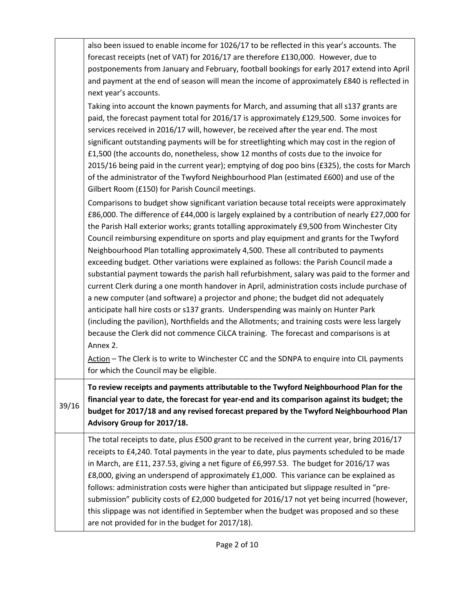|       | also been issued to enable income for 1026/17 to be reflected in this year's accounts. The<br>forecast receipts (net of VAT) for 2016/17 are therefore £130,000. However, due to<br>postponements from January and February, football bookings for early 2017 extend into April<br>and payment at the end of season will mean the income of approximately £840 is reflected in<br>next year's accounts.                                                                                                                                                                                                                                                                                                                                                                                                                                                                                                                                                                                                                                                                                                                                                                                                                                                                                             |
|-------|-----------------------------------------------------------------------------------------------------------------------------------------------------------------------------------------------------------------------------------------------------------------------------------------------------------------------------------------------------------------------------------------------------------------------------------------------------------------------------------------------------------------------------------------------------------------------------------------------------------------------------------------------------------------------------------------------------------------------------------------------------------------------------------------------------------------------------------------------------------------------------------------------------------------------------------------------------------------------------------------------------------------------------------------------------------------------------------------------------------------------------------------------------------------------------------------------------------------------------------------------------------------------------------------------------|
|       | Taking into account the known payments for March, and assuming that all s137 grants are<br>paid, the forecast payment total for 2016/17 is approximately £129,500. Some invoices for<br>services received in 2016/17 will, however, be received after the year end. The most<br>significant outstanding payments will be for streetlighting which may cost in the region of<br>£1,500 (the accounts do, nonetheless, show 12 months of costs due to the invoice for<br>2015/16 being paid in the current year); emptying of dog poo bins (£325), the costs for March<br>of the administrator of the Twyford Neighbourhood Plan (estimated £600) and use of the<br>Gilbert Room (£150) for Parish Council meetings.                                                                                                                                                                                                                                                                                                                                                                                                                                                                                                                                                                                  |
|       | Comparisons to budget show significant variation because total receipts were approximately<br>£86,000. The difference of £44,000 is largely explained by a contribution of nearly £27,000 for<br>the Parish Hall exterior works; grants totalling approximately £9,500 from Winchester City<br>Council reimbursing expenditure on sports and play equipment and grants for the Twyford<br>Neighbourhood Plan totalling approximately 4,500. These all contributed to payments<br>exceeding budget. Other variations were explained as follows: the Parish Council made a<br>substantial payment towards the parish hall refurbishment, salary was paid to the former and<br>current Clerk during a one month handover in April, administration costs include purchase of<br>a new computer (and software) a projector and phone; the budget did not adequately<br>anticipate hall hire costs or s137 grants. Underspending was mainly on Hunter Park<br>(including the pavilion), Northfields and the Allotments; and training costs were less largely<br>because the Clerk did not commence CiLCA training. The forecast and comparisons is at<br>Annex 2.<br>Action - The Clerk is to write to Winchester CC and the SDNPA to enquire into CIL payments<br>for which the Council may be eligible. |
| 39/16 | To review receipts and payments attributable to the Twyford Neighbourhood Plan for the<br>financial year to date, the forecast for year-end and its comparison against its budget; the<br>budget for 2017/18 and any revised forecast prepared by the Twyford Neighbourhood Plan<br>Advisory Group for 2017/18.                                                                                                                                                                                                                                                                                                                                                                                                                                                                                                                                                                                                                                                                                                                                                                                                                                                                                                                                                                                     |
|       | The total receipts to date, plus £500 grant to be received in the current year, bring 2016/17<br>receipts to £4,240. Total payments in the year to date, plus payments scheduled to be made<br>in March, are £11, 237.53, giving a net figure of £6,997.53. The budget for 2016/17 was<br>£8,000, giving an underspend of approximately £1,000. This variance can be explained as<br>follows: administration costs were higher than anticipated but slippage resulted in "pre-<br>submission" publicity costs of £2,000 budgeted for 2016/17 not yet being incurred (however,<br>this slippage was not identified in September when the budget was proposed and so these<br>are not provided for in the budget for 2017/18).                                                                                                                                                                                                                                                                                                                                                                                                                                                                                                                                                                        |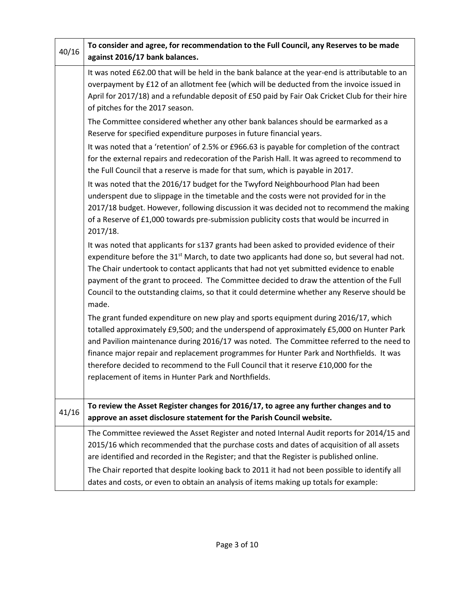| 40/16 | To consider and agree, for recommendation to the Full Council, any Reserves to be made<br>against 2016/17 bank balances.                                                                                                                                                                                                                                                                                                                                                                                                                                                                                                                                                                                                                                                                                                                                                                                                                                                                                                                                                   |
|-------|----------------------------------------------------------------------------------------------------------------------------------------------------------------------------------------------------------------------------------------------------------------------------------------------------------------------------------------------------------------------------------------------------------------------------------------------------------------------------------------------------------------------------------------------------------------------------------------------------------------------------------------------------------------------------------------------------------------------------------------------------------------------------------------------------------------------------------------------------------------------------------------------------------------------------------------------------------------------------------------------------------------------------------------------------------------------------|
|       | It was noted £62.00 that will be held in the bank balance at the year-end is attributable to an<br>overpayment by £12 of an allotment fee (which will be deducted from the invoice issued in<br>April for 2017/18) and a refundable deposit of £50 paid by Fair Oak Cricket Club for their hire<br>of pitches for the 2017 season.<br>The Committee considered whether any other bank balances should be earmarked as a<br>Reserve for specified expenditure purposes in future financial years.<br>It was noted that a 'retention' of 2.5% or £966.63 is payable for completion of the contract<br>for the external repairs and redecoration of the Parish Hall. It was agreed to recommend to<br>the Full Council that a reserve is made for that sum, which is payable in 2017.<br>It was noted that the 2016/17 budget for the Twyford Neighbourhood Plan had been<br>underspent due to slippage in the timetable and the costs were not provided for in the<br>2017/18 budget. However, following discussion it was decided not to recommend the making               |
|       | of a Reserve of £1,000 towards pre-submission publicity costs that would be incurred in<br>2017/18.<br>It was noted that applicants for s137 grants had been asked to provided evidence of their<br>expenditure before the 31 <sup>st</sup> March, to date two applicants had done so, but several had not.<br>The Chair undertook to contact applicants that had not yet submitted evidence to enable<br>payment of the grant to proceed. The Committee decided to draw the attention of the Full<br>Council to the outstanding claims, so that it could determine whether any Reserve should be<br>made.<br>The grant funded expenditure on new play and sports equipment during 2016/17, which<br>totalled approximately £9,500; and the underspend of approximately £5,000 on Hunter Park<br>and Pavilion maintenance during 2016/17 was noted. The Committee referred to the need to<br>finance major repair and replacement programmes for Hunter Park and Northfields. It was<br>therefore decided to recommend to the Full Council that it reserve £10,000 for the |
|       | replacement of items in Hunter Park and Northfields.                                                                                                                                                                                                                                                                                                                                                                                                                                                                                                                                                                                                                                                                                                                                                                                                                                                                                                                                                                                                                       |
| 41/16 | To review the Asset Register changes for 2016/17, to agree any further changes and to<br>approve an asset disclosure statement for the Parish Council website.                                                                                                                                                                                                                                                                                                                                                                                                                                                                                                                                                                                                                                                                                                                                                                                                                                                                                                             |
|       | The Committee reviewed the Asset Register and noted Internal Audit reports for 2014/15 and<br>2015/16 which recommended that the purchase costs and dates of acquisition of all assets<br>are identified and recorded in the Register; and that the Register is published online.<br>The Chair reported that despite looking back to 2011 it had not been possible to identify all<br>dates and costs, or even to obtain an analysis of items making up totals for example:                                                                                                                                                                                                                                                                                                                                                                                                                                                                                                                                                                                                |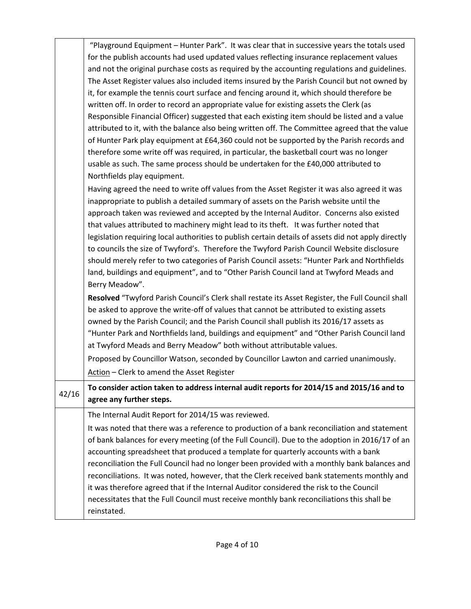|       | "Playground Equipment - Hunter Park". It was clear that in successive years the totals used<br>for the publish accounts had used updated values reflecting insurance replacement values<br>and not the original purchase costs as required by the accounting regulations and guidelines.<br>The Asset Register values also included items insured by the Parish Council but not owned by<br>it, for example the tennis court surface and fencing around it, which should therefore be<br>written off. In order to record an appropriate value for existing assets the Clerk (as<br>Responsible Financial Officer) suggested that each existing item should be listed and a value<br>attributed to it, with the balance also being written off. The Committee agreed that the value<br>of Hunter Park play equipment at £64,360 could not be supported by the Parish records and<br>therefore some write off was required, in particular, the basketball court was no longer<br>usable as such. The same process should be undertaken for the £40,000 attributed to<br>Northfields play equipment.<br>Having agreed the need to write off values from the Asset Register it was also agreed it was<br>inappropriate to publish a detailed summary of assets on the Parish website until the |
|-------|--------------------------------------------------------------------------------------------------------------------------------------------------------------------------------------------------------------------------------------------------------------------------------------------------------------------------------------------------------------------------------------------------------------------------------------------------------------------------------------------------------------------------------------------------------------------------------------------------------------------------------------------------------------------------------------------------------------------------------------------------------------------------------------------------------------------------------------------------------------------------------------------------------------------------------------------------------------------------------------------------------------------------------------------------------------------------------------------------------------------------------------------------------------------------------------------------------------------------------------------------------------------------------------------|
|       | approach taken was reviewed and accepted by the Internal Auditor. Concerns also existed<br>that values attributed to machinery might lead to its theft. It was further noted that<br>legislation requiring local authorities to publish certain details of assets did not apply directly<br>to councils the size of Twyford's. Therefore the Twyford Parish Council Website disclosure<br>should merely refer to two categories of Parish Council assets: "Hunter Park and Northfields<br>land, buildings and equipment", and to "Other Parish Council land at Twyford Meads and<br>Berry Meadow".                                                                                                                                                                                                                                                                                                                                                                                                                                                                                                                                                                                                                                                                                         |
|       | Resolved "Twyford Parish Council's Clerk shall restate its Asset Register, the Full Council shall<br>be asked to approve the write-off of values that cannot be attributed to existing assets<br>owned by the Parish Council; and the Parish Council shall publish its 2016/17 assets as<br>"Hunter Park and Northfields land, buildings and equipment" and "Other Parish Council land<br>at Twyford Meads and Berry Meadow" both without attributable values.<br>Proposed by Councillor Watson, seconded by Councillor Lawton and carried unanimously.<br>Action - Clerk to amend the Asset Register                                                                                                                                                                                                                                                                                                                                                                                                                                                                                                                                                                                                                                                                                      |
| 42/16 | To consider action taken to address internal audit reports for 2014/15 and 2015/16 and to<br>agree any further steps.                                                                                                                                                                                                                                                                                                                                                                                                                                                                                                                                                                                                                                                                                                                                                                                                                                                                                                                                                                                                                                                                                                                                                                      |
|       | The Internal Audit Report for 2014/15 was reviewed.<br>It was noted that there was a reference to production of a bank reconciliation and statement<br>of bank balances for every meeting (of the Full Council). Due to the adoption in 2016/17 of an<br>accounting spreadsheet that produced a template for quarterly accounts with a bank<br>reconciliation the Full Council had no longer been provided with a monthly bank balances and<br>reconciliations. It was noted, however, that the Clerk received bank statements monthly and<br>it was therefore agreed that if the Internal Auditor considered the risk to the Council<br>necessitates that the Full Council must receive monthly bank reconciliations this shall be<br>reinstated.                                                                                                                                                                                                                                                                                                                                                                                                                                                                                                                                         |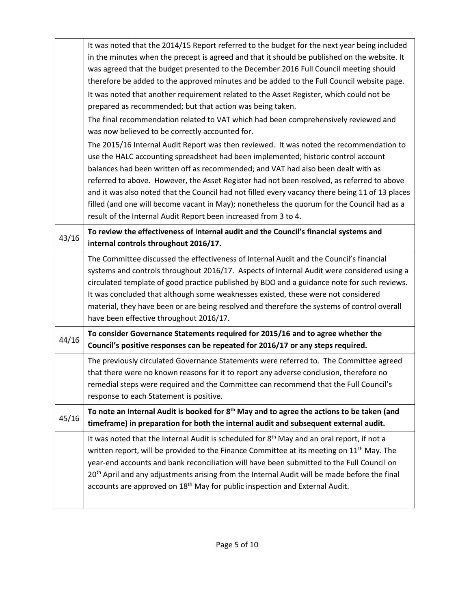|       | It was noted that the 2014/15 Report referred to the budget for the next year being included<br>in the minutes when the precept is agreed and that it should be published on the website. It<br>was agreed that the budget presented to the December 2016 Full Council meeting should                                                                                                                                                                                                                                                                                                                                                 |
|-------|---------------------------------------------------------------------------------------------------------------------------------------------------------------------------------------------------------------------------------------------------------------------------------------------------------------------------------------------------------------------------------------------------------------------------------------------------------------------------------------------------------------------------------------------------------------------------------------------------------------------------------------|
|       | therefore be added to the approved minutes and be added to the Full Council website page.<br>It was noted that another requirement related to the Asset Register, which could not be<br>prepared as recommended; but that action was being taken.                                                                                                                                                                                                                                                                                                                                                                                     |
|       | The final recommendation related to VAT which had been comprehensively reviewed and<br>was now believed to be correctly accounted for.                                                                                                                                                                                                                                                                                                                                                                                                                                                                                                |
|       | The 2015/16 Internal Audit Report was then reviewed. It was noted the recommendation to<br>use the HALC accounting spreadsheet had been implemented; historic control account<br>balances had been written off as recommended; and VAT had also been dealt with as<br>referred to above. However, the Asset Register had not been resolved, as referred to above<br>and it was also noted that the Council had not filled every vacancy there being 11 of 13 places<br>filled (and one will become vacant in May); nonetheless the quorum for the Council had as a<br>result of the Internal Audit Report been increased from 3 to 4. |
| 43/16 | To review the effectiveness of internal audit and the Council's financial systems and<br>internal controls throughout 2016/17.                                                                                                                                                                                                                                                                                                                                                                                                                                                                                                        |
|       | The Committee discussed the effectiveness of Internal Audit and the Council's financial<br>systems and controls throughout 2016/17. Aspects of Internal Audit were considered using a<br>circulated template of good practice published by BDO and a guidance note for such reviews.<br>It was concluded that although some weaknesses existed, these were not considered<br>material, they have been or are being resolved and therefore the systems of control overall<br>have been effective throughout 2016/17.                                                                                                                   |
| 44/16 | To consider Governance Statements required for 2015/16 and to agree whether the<br>Council's positive responses can be repeated for 2016/17 or any steps required.                                                                                                                                                                                                                                                                                                                                                                                                                                                                    |
|       |                                                                                                                                                                                                                                                                                                                                                                                                                                                                                                                                                                                                                                       |
|       | The previously circulated Governance Statements were referred to. The Committee agreed<br>that there were no known reasons for it to report any adverse conclusion, therefore no<br>remedial steps were required and the Committee can recommend that the Full Council's<br>response to each Statement is positive.                                                                                                                                                                                                                                                                                                                   |
| 45/16 | To note an Internal Audit is booked for 8 <sup>th</sup> May and to agree the actions to be taken (and<br>timeframe) in preparation for both the internal audit and subsequent external audit.                                                                                                                                                                                                                                                                                                                                                                                                                                         |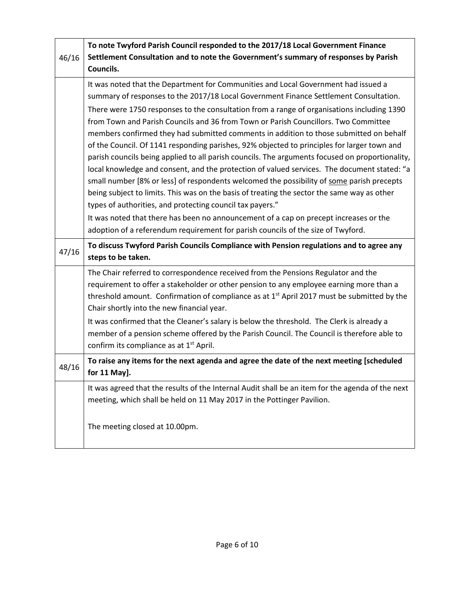|       | To note Twyford Parish Council responded to the 2017/18 Local Government Finance                       |
|-------|--------------------------------------------------------------------------------------------------------|
| 46/16 | Settlement Consultation and to note the Government's summary of responses by Parish                    |
|       | Councils.                                                                                              |
|       | It was noted that the Department for Communities and Local Government had issued a                     |
|       | summary of responses to the 2017/18 Local Government Finance Settlement Consultation.                  |
|       | There were 1750 responses to the consultation from a range of organisations including 1390             |
|       | from Town and Parish Councils and 36 from Town or Parish Councillors. Two Committee                    |
|       | members confirmed they had submitted comments in addition to those submitted on behalf                 |
|       | of the Council. Of 1141 responding parishes, 92% objected to principles for larger town and            |
|       | parish councils being applied to all parish councils. The arguments focused on proportionality,        |
|       | local knowledge and consent, and the protection of valued services. The document stated: "a            |
|       | small number [8% or less] of respondents welcomed the possibility of some parish precepts              |
|       | being subject to limits. This was on the basis of treating the sector the same way as other            |
|       | types of authorities, and protecting council tax payers."                                              |
|       | It was noted that there has been no announcement of a cap on precept increases or the                  |
|       | adoption of a referendum requirement for parish councils of the size of Twyford.                       |
| 47/16 | To discuss Twyford Parish Councils Compliance with Pension regulations and to agree any                |
|       | steps to be taken.                                                                                     |
|       | The Chair referred to correspondence received from the Pensions Regulator and the                      |
|       | requirement to offer a stakeholder or other pension to any employee earning more than a                |
|       | threshold amount. Confirmation of compliance as at 1 <sup>st</sup> April 2017 must be submitted by the |
|       | Chair shortly into the new financial year.                                                             |
|       | It was confirmed that the Cleaner's salary is below the threshold. The Clerk is already a              |
|       | member of a pension scheme offered by the Parish Council. The Council is therefore able to             |
|       | confirm its compliance as at 1 <sup>st</sup> April.                                                    |
| 48/16 | To raise any items for the next agenda and agree the date of the next meeting [scheduled               |
|       | for 11 May].                                                                                           |
|       | It was agreed that the results of the Internal Audit shall be an item for the agenda of the next       |
|       | meeting, which shall be held on 11 May 2017 in the Pottinger Pavilion.                                 |
|       |                                                                                                        |
|       | The meeting closed at 10.00pm.                                                                         |
|       |                                                                                                        |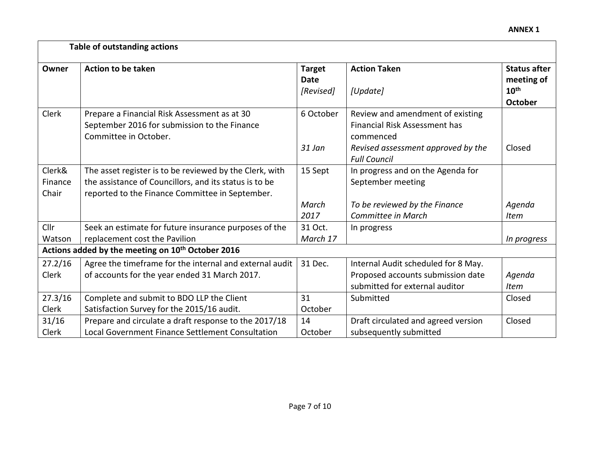|                            | <b>Table of outstanding actions</b>                                                                                                                                  |                                           |                                                                                       |                                                                         |
|----------------------------|----------------------------------------------------------------------------------------------------------------------------------------------------------------------|-------------------------------------------|---------------------------------------------------------------------------------------|-------------------------------------------------------------------------|
| Owner                      | <b>Action to be taken</b>                                                                                                                                            | <b>Target</b><br><b>Date</b><br>[Revised] | <b>Action Taken</b><br>[Update]                                                       | <b>Status after</b><br>meeting of<br>10 <sup>th</sup><br><b>October</b> |
| Clerk                      | Prepare a Financial Risk Assessment as at 30<br>September 2016 for submission to the Finance<br>Committee in October.                                                | 6 October                                 | Review and amendment of existing<br><b>Financial Risk Assessment has</b><br>commenced |                                                                         |
|                            |                                                                                                                                                                      | 31 Jan                                    | Revised assessment approved by the<br><b>Full Council</b>                             | Closed                                                                  |
| Clerk&<br>Finance<br>Chair | The asset register is to be reviewed by the Clerk, with<br>the assistance of Councillors, and its status is to be<br>reported to the Finance Committee in September. | 15 Sept                                   | In progress and on the Agenda for<br>September meeting                                |                                                                         |
|                            |                                                                                                                                                                      | March                                     | To be reviewed by the Finance                                                         | Agenda                                                                  |
|                            |                                                                                                                                                                      | 2017                                      | Committee in March                                                                    | Item                                                                    |
| Cllr                       | Seek an estimate for future insurance purposes of the                                                                                                                | 31 Oct.                                   | In progress                                                                           |                                                                         |
| Watson                     | replacement cost the Pavilion                                                                                                                                        | March 17                                  |                                                                                       | In progress                                                             |
|                            | Actions added by the meeting on 10 <sup>th</sup> October 2016                                                                                                        |                                           |                                                                                       |                                                                         |
| 27.2/16                    | Agree the timeframe for the internal and external audit                                                                                                              | 31 Dec.                                   | Internal Audit scheduled for 8 May.                                                   |                                                                         |
| Clerk                      | of accounts for the year ended 31 March 2017.                                                                                                                        |                                           | Proposed accounts submission date                                                     | Agenda                                                                  |
|                            |                                                                                                                                                                      |                                           | submitted for external auditor                                                        | <b>Item</b>                                                             |
| 27.3/16                    | Complete and submit to BDO LLP the Client                                                                                                                            | 31                                        | Submitted                                                                             | Closed                                                                  |
| Clerk                      | Satisfaction Survey for the 2015/16 audit.                                                                                                                           | October                                   |                                                                                       |                                                                         |
| 31/16                      | Prepare and circulate a draft response to the 2017/18                                                                                                                | 14                                        | Draft circulated and agreed version                                                   | Closed                                                                  |
| <b>Clerk</b>               | Local Government Finance Settlement Consultation                                                                                                                     | October                                   | subsequently submitted                                                                |                                                                         |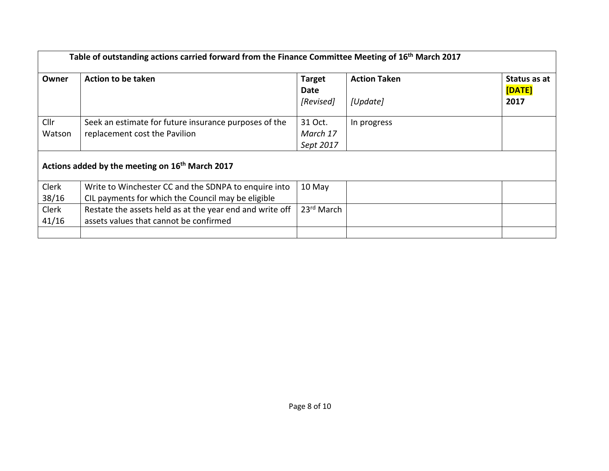|                | Table of outstanding actions carried forward from the Finance Committee Meeting of 16 <sup>th</sup> March 2017 |                                    |                                 |                                |
|----------------|----------------------------------------------------------------------------------------------------------------|------------------------------------|---------------------------------|--------------------------------|
| Owner          | <b>Action to be taken</b>                                                                                      | <b>Target</b><br>Date<br>[Revised] | <b>Action Taken</b><br>[Update] | Status as at<br>[DATE]<br>2017 |
| Cllr<br>Watson | Seek an estimate for future insurance purposes of the<br>replacement cost the Pavilion                         | 31 Oct.<br>March 17<br>Sept 2017   | In progress                     |                                |
|                | Actions added by the meeting on 16 <sup>th</sup> March 2017                                                    |                                    |                                 |                                |
| Clerk<br>38/16 | Write to Winchester CC and the SDNPA to enquire into<br>CIL payments for which the Council may be eligible     | 10 May                             |                                 |                                |
| Clerk<br>41/16 | Restate the assets held as at the year end and write off<br>assets values that cannot be confirmed             | 23rd March                         |                                 |                                |
|                |                                                                                                                |                                    |                                 |                                |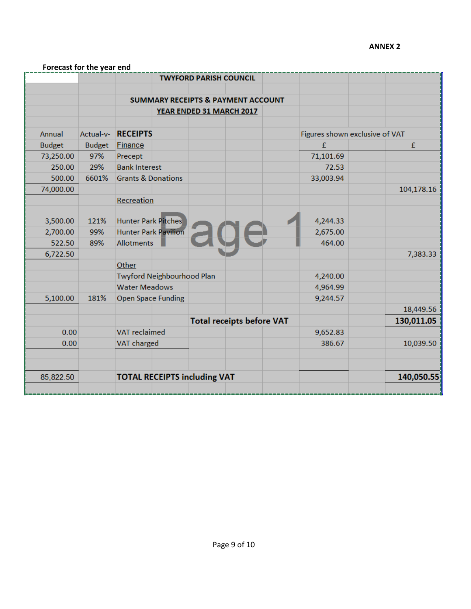## **ANNEX 2**

|               |               |                                     | <b>TWYFORD PARISH COUNCIL</b>                 |                                |            |
|---------------|---------------|-------------------------------------|-----------------------------------------------|--------------------------------|------------|
|               |               |                                     | <b>SUMMARY RECEIPTS &amp; PAYMENT ACCOUNT</b> |                                |            |
|               |               |                                     | YEAR ENDED 31 MARCH 2017                      |                                |            |
|               |               |                                     |                                               |                                |            |
| Annual        | Actual-v-     | <b>RECEIPTS</b>                     |                                               | Figures shown exclusive of VAT |            |
| <b>Budget</b> | <b>Budget</b> | <b>Finance</b>                      |                                               | £                              | £          |
| 73,250.00     | 97%           | Precept                             |                                               | 71,101.69                      |            |
| 250.00        | 29%           | <b>Bank Interest</b>                |                                               | 72.53                          |            |
| 500.00        | 6601%         | <b>Grants &amp; Donations</b>       |                                               | 33,003.94                      |            |
| 74,000.00     |               |                                     |                                               |                                | 104,178.16 |
|               |               | Recreation                          |                                               |                                |            |
| 3,500.00      | 121%          | <b>Hunter Park Pitches</b>          |                                               | 4,244.33                       |            |
| 2,700.00      | 99%           | <b>Hunter Park Pavilion</b>         |                                               | 2,675.00                       |            |
| 522.50        | 89%           | <b>Allotments</b>                   |                                               | 464.00                         |            |
| 6,722.50      |               |                                     |                                               |                                | 7,383.33   |
|               |               | Other                               |                                               |                                |            |
|               |               | Twyford Neighbourhood Plan          |                                               | 4,240.00                       |            |
|               |               | <b>Water Meadows</b>                |                                               | 4,964.99                       |            |
| 5,100.00      | 181%          | <b>Open Space Funding</b>           |                                               | 9,244.57                       |            |
|               |               |                                     |                                               |                                | 18,449.56  |
|               |               |                                     | <b>Total receipts before VAT</b>              |                                | 130,011.05 |
| 0.00          |               | <b>VAT</b> reclaimed                |                                               | 9,652.83                       |            |
| 0.00          |               | <b>VAT charged</b>                  |                                               | 386.67                         | 10,039.50  |
| 85,822.50     |               | <b>TOTAL RECEIPTS including VAT</b> |                                               |                                | 140,050.55 |
|               |               |                                     |                                               |                                |            |